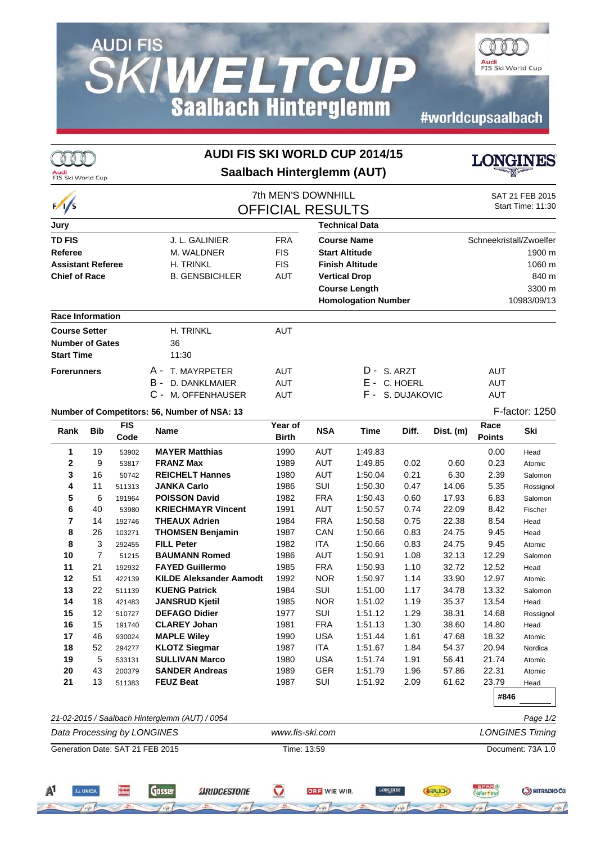## **AUDI FIS SKIWELTCUP**<br>Saalbach Hinterglemm

#worldcupsaalbach

OTT

Audi<br>FIS Ski World Cup

| $\frac{1}{s}$                    |                |                    |                                                | 7th MEN'S DOWNHILL<br><b>OFFICIAL RESULTS</b> |                        |                            |                  | SAT 21 FEB 2015<br>Start Time: 11:30 |                       |                |  |
|----------------------------------|----------------|--------------------|------------------------------------------------|-----------------------------------------------|------------------------|----------------------------|------------------|--------------------------------------|-----------------------|----------------|--|
| Jury                             |                |                    | <b>Technical Data</b>                          |                                               |                        |                            |                  |                                      |                       |                |  |
| <b>TD FIS</b><br>J. L. GALINIER  |                |                    | <b>FRA</b>                                     | <b>Course Name</b>                            |                        |                            |                  | Schneekristall/Zwoelfer              |                       |                |  |
| <b>Referee</b>                   |                |                    | M. WALDNER                                     | <b>FIS</b>                                    | <b>Start Altitude</b>  |                            |                  | 1900 m                               |                       |                |  |
| <b>Assistant Referee</b>         |                |                    | H. TRINKL                                      | <b>FIS</b>                                    | <b>Finish Altitude</b> |                            |                  | 1060 m                               |                       |                |  |
| <b>Chief of Race</b>             |                |                    | <b>B. GENSBICHLER</b>                          | <b>AUT</b>                                    |                        | <b>Vertical Drop</b>       |                  | 840 m<br>3300 m                      |                       |                |  |
|                                  |                |                    |                                                |                                               | <b>Course Length</b>   |                            |                  |                                      |                       |                |  |
|                                  |                |                    |                                                |                                               |                        | <b>Homologation Number</b> |                  |                                      |                       | 10983/09/13    |  |
| <b>Race Information</b>          |                |                    |                                                |                                               |                        |                            |                  |                                      |                       |                |  |
| <b>Course Setter</b>             |                |                    | <b>H. TRINKL</b>                               | <b>AUT</b>                                    |                        |                            |                  |                                      |                       |                |  |
| <b>Number of Gates</b>           |                |                    | 36                                             |                                               |                        |                            |                  |                                      |                       |                |  |
| <b>Start Time</b>                |                |                    | 11:30                                          |                                               |                        |                            |                  |                                      |                       |                |  |
| <b>Forerunners</b>               |                |                    | T. MAYRPETER<br>A -                            | <b>AUT</b>                                    |                        | D - S. ARZT                |                  |                                      | AUT                   |                |  |
|                                  |                |                    | в -<br>D. DANKLMAIER                           | <b>AUT</b>                                    |                        |                            | E - C. HOERL     |                                      | <b>AUT</b>            |                |  |
|                                  |                |                    | $C -$<br>M. OFFENHAUSER                        | <b>AUT</b>                                    |                        |                            | F - S. DUJAKOVIC |                                      | <b>AUT</b>            |                |  |
|                                  |                |                    | Number of Competitors: 56, Number of NSA: 13   |                                               |                        |                            |                  |                                      |                       | F-factor: 1250 |  |
| Rank                             | <b>Bib</b>     | <b>FIS</b><br>Code | Name                                           | Year of<br><b>Birth</b>                       | <b>NSA</b>             | Time                       | Diff.            | Dist. (m)                            | Race<br><b>Points</b> | Ski            |  |
| 1                                | 19             | 53902              | <b>MAYER Matthias</b>                          | 1990                                          | <b>AUT</b>             | 1:49.83                    |                  |                                      | 0.00                  | Head           |  |
| 2                                | 9              | 53817              | <b>FRANZ Max</b>                               | 1989                                          | <b>AUT</b>             | 1:49.85                    | 0.02             | 0.60                                 | 0.23                  | Atomic         |  |
| 3                                | 16             | 50742              | <b>REICHELT Hannes</b>                         | 1980                                          | <b>AUT</b>             | 1:50.04                    | 0.21             | 6.30                                 | 2.39                  | Salomon        |  |
| 4                                | 11             | 511313             | <b>JANKA Carlo</b>                             | 1986                                          | SUI                    | 1:50.30                    | 0.47             | 14.06                                | 5.35                  | Rossignol      |  |
| 5                                | 6              | 191964             | <b>POISSON David</b>                           | 1982                                          | <b>FRA</b>             | 1:50.43                    | 0.60             | 17.93                                | 6.83                  | Salomon        |  |
| 6                                | 40             | 53980              | <b>KRIECHMAYR Vincent</b>                      | 1991                                          | AUT                    | 1:50.57                    | 0.74             | 22.09                                | 8.42                  | Fischer        |  |
| $\overline{7}$<br>8              | 14             | 192746             | <b>THEAUX Adrien</b>                           | 1984                                          | <b>FRA</b><br>CAN      | 1:50.58<br>1:50.66         | 0.75             | 22.38                                | 8.54                  | Head           |  |
| 8                                | 26<br>3        | 103271<br>292455   | <b>THOMSEN Benjamin</b><br><b>FILL Peter</b>   | 1987<br>1982                                  | <b>ITA</b>             | 1:50.66                    | 0.83<br>0.83     | 24.75<br>24.75                       | 9.45<br>9.45          | Head<br>Atomic |  |
| 10                               | $\overline{7}$ | 51215              | <b>BAUMANN Romed</b>                           | 1986                                          | <b>AUT</b>             | 1:50.91                    | 1.08             | 32.13                                | 12.29                 | Salomon        |  |
| 11                               | 21             | 192932             | <b>FAYED Guillermo</b>                         | 1985                                          | <b>FRA</b>             | 1:50.93                    | 1.10             | 32.72                                | 12.52                 | Head           |  |
| 12                               | 51             | 422139             | <b>KILDE Aleksander Aamodt</b>                 | 1992                                          | <b>NOR</b>             | 1:50.97                    | 1.14             | 33.90                                | 12.97                 | Atomic         |  |
| 13                               | 22             | 511139             | <b>KUENG Patrick</b>                           | 1984                                          | SUI                    | 1:51.00                    | 1.17             | 34.78                                | 13.32                 | Salomon        |  |
| 14                               | 18             | 421483             | <b>JANSRUD Kjetil</b>                          | 1985                                          | <b>NOR</b>             | 1:51.02                    | 1.19             | 35.37                                | 13.54                 | Head           |  |
| 15                               | 12             | 510727             | <b>DEFAGO Didier</b>                           | 1977                                          | SUI                    | 1:51.12                    | 1.29             | 38.31                                | 14.68                 | Rossignol      |  |
| 16                               | 15             | 191740             | <b>CLAREY Johan</b>                            | 1981                                          | <b>FRA</b>             | 1:51.13                    | 1.30             | 38.60                                | 14.80                 | Head           |  |
| 17                               | 46             | 930024             | <b>MAPLE Wiley</b>                             | 1990                                          | <b>USA</b>             | 1:51.44                    | 1.61             | 47.68                                | 18.32                 | Atomic         |  |
| 18                               | 52             | 294277             | <b>KLOTZ Siegmar</b>                           | 1987                                          | <b>ITA</b>             | 1:51.67                    | 1.84             | 54.37                                | 20.94                 | Nordica        |  |
| 19<br>20                         | 5<br>43        | 533131             | <b>SULLIVAN Marco</b><br><b>SANDER Andreas</b> | 1980                                          | <b>USA</b>             | 1:51.74                    | 1.91             | 56.41                                | 21.74                 | Atomic         |  |
| 21                               | 13             | 200379<br>511383   | <b>FEUZ Beat</b>                               | 1989<br>1987                                  | GER<br>SUI             | 1:51.79<br>1:51.92         | 1.96<br>2.09     | 57.86<br>61.62                       | 22.31<br>23.79        | Atomic<br>Head |  |
|                                  |                |                    |                                                |                                               |                        |                            |                  |                                      | #846                  |                |  |
|                                  |                |                    | 21-02-2015 / Saalbach Hinterglemm (AUT) / 0054 |                                               |                        |                            |                  |                                      |                       | Page 1/2       |  |
| Data Processing by LONGINES      |                |                    |                                                | www.fis-ski.com                               |                        |                            |                  | <b>LONGINES Timing</b>               |                       |                |  |
| Generation Date: SAT 21 FEB 2015 |                |                    |                                                | Time: 13:59                                   |                        |                            |                  | Document: 73A 1.0                    |                       |                |  |